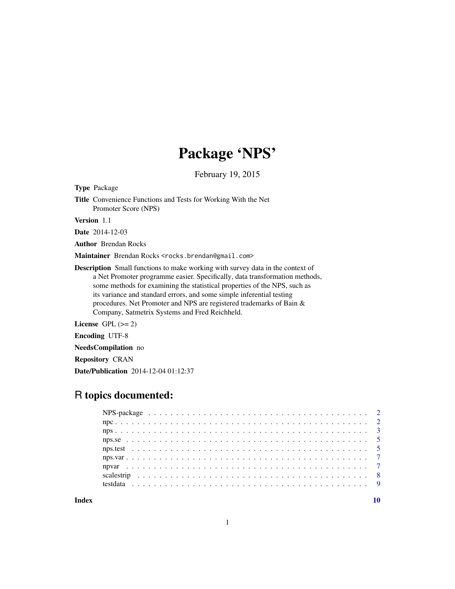## Package 'NPS'

February 19, 2015

<span id="page-0-0"></span>Type Package

Title Convenience Functions and Tests for Working With the Net Promoter Score (NPS)

Version 1.1

Date 2014-12-03

Author Brendan Rocks

Maintainer Brendan Rocks <rocks.brendan@gmail.com>

Description Small functions to make working with survey data in the context of a Net Promoter programme easier. Specifically, data transformation methods, some methods for examining the statistical properties of the NPS, such as its variance and standard errors, and some simple inferential testing procedures. Net Promoter and NPS are registered trademarks of Bain & Company, Satmetrix Systems and Fred Reichheld.

License GPL  $(>= 2)$ 

Encoding UTF-8

NeedsCompilation no

Repository CRAN

Date/Publication 2014-12-04 01:12:37

## R topics documented:

 $\blacksquare$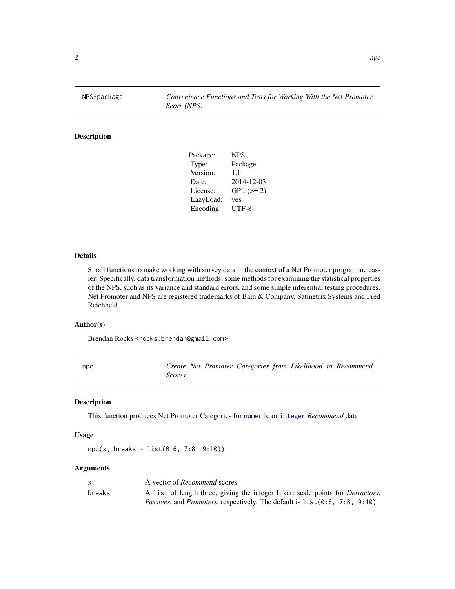<span id="page-1-0"></span>NPS-package *Convenience Functions and Tests for Working With the Net Promoter Score (NPS)*

## Description

| Package:  | <b>NPS</b> |
|-----------|------------|
| Type:     | Package    |
| Version:  | 1.1        |
| Date:     | 2014-12-03 |
| License:  | $GPL (=2)$ |
| LazyLoad: | yes        |
| Encoding: | UTF-8      |

## Details

Small functions to make working with survey data in the context of a Net Promoter programme easier. Specifically, data transformation methods, some methods for examining the statistical properties of the NPS, such as its variance and standard errors, and some simple inferential testing procedures. Net Promoter and NPS are registered trademarks of Bain & Company, Satmetrix Systems and Fred Reichheld.

## Author(s)

Brendan Rocks <rocks.brendan@gmail.com>

<span id="page-1-1"></span>npc *Create Net Promoter Categories from Likelihood to Recommend Scores*

## Description

This function produces Net Promoter Categories for [numeric](#page-0-0) or [integer](#page-0-0) *Recommend* data

#### Usage

npc(x, breaks = list(0:6, 7:8, 9:10))

## Arguments

| X      | A vector of <i>Recommend</i> scores                                                    |
|--------|----------------------------------------------------------------------------------------|
| breaks | A list of length three, giving the integer Likert scale points for <i>Detractors</i> , |
|        | <i>Passives, and Promoters, respectively. The default is 1ist(0:6, 7:8, 9:10)</i>      |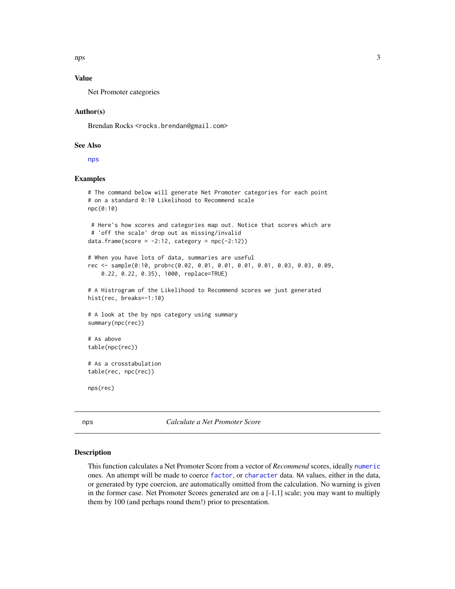<span id="page-2-0"></span>nps 3

## Value

Net Promoter categories

## Author(s)

Brendan Rocks <rocks.brendan@gmail.com>

## See Also

[nps](#page-2-1)

## Examples

```
# The command below will generate Net Promoter categories for each point
# on a standard 0:10 Likelihood to Recommend scale
npc(0:10)
# Here's how scores and categories map out. Notice that scores which are
# 'off the scale' drop out as missing/invalid
data.frame(score = -2:12, category = npc(-2:12))
# When you have lots of data, summaries are useful
rec <- sample(0:10, prob=c(0.02, 0.01, 0.01, 0.01, 0.01, 0.03, 0.03, 0.09,
    0.22, 0.22, 0.35), 1000, replace=TRUE)
# A Histrogram of the Likelihood to Recommend scores we just generated
hist(rec, breaks=-1:10)
# A look at the by nps category using summary
summary(npc(rec))
# As above
table(npc(rec))
# As a crosstabulation
table(rec, npc(rec))
nps(rec)
```
<span id="page-2-1"></span>nps *Calculate a Net Promoter Score*

## Description

This function calculates a Net Promoter Score from a vector of *Recommend* scores, ideally [numeric](#page-0-0) ones. An attempt will be made to coerce [factor](#page-0-0), or [character](#page-0-0) data. NA values, either in the data, or generated by type coercion, are automatically omitted from the calculation. No warning is given in the former case. Net Promoter Scores generated are on a [-1,1] scale; you may want to multiply them by 100 (and perhaps round them!) prior to presentation.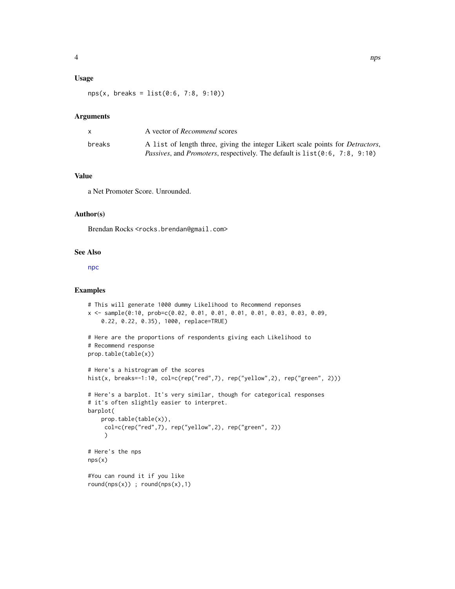## <span id="page-3-0"></span>Usage

nps(x, breaks = list(0:6, 7:8, 9:10))

## Arguments

|        | A vector of <i>Recommend</i> scores                                                    |
|--------|----------------------------------------------------------------------------------------|
| breaks | A list of length three, giving the integer Likert scale points for <i>Detractors</i> , |
|        | <i>Passives, and Promoters, respectively. The default is list (0:6, 7:8, 9:10)</i>     |

## Value

a Net Promoter Score. Unrounded.

## Author(s)

Brendan Rocks <rocks.brendan@gmail.com>

#### See Also

[npc](#page-1-1)

## Examples

```
# This will generate 1000 dummy Likelihood to Recommend reponses
x <- sample(0:10, prob=c(0.02, 0.01, 0.01, 0.01, 0.01, 0.03, 0.03, 0.09,
    0.22, 0.22, 0.35), 1000, replace=TRUE)
# Here are the proportions of respondents giving each Likelihood to
# Recommend response
prop.table(table(x))
# Here's a histrogram of the scores
hist(x, breaks=-1:10, col=c(rep("red",7), rep("yellow",2), rep("green", 2)))
# Here's a barplot. It's very similar, though for categorical responses
# it's often slightly easier to interpret.
barplot(
    prop.table(table(x)),
     col=c(rep("red",7), rep("yellow",2), rep("green", 2))
     )
# Here's the nps
nps(x)
#You can round it if you like
round(nps(x)); round(nps(x),1)
```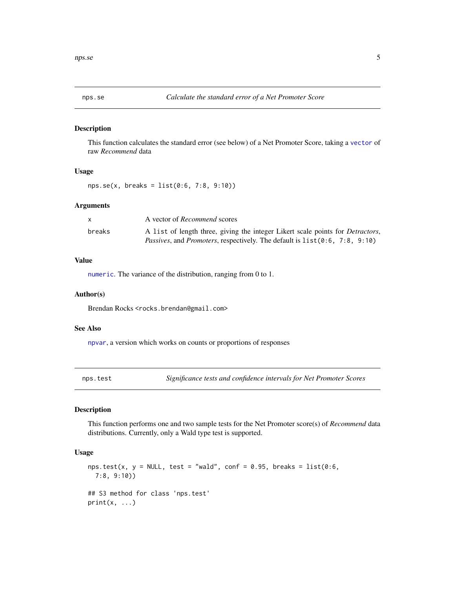<span id="page-4-1"></span><span id="page-4-0"></span>

## Description

This function calculates the standard error (see below) of a Net Promoter Score, taking a [vector](#page-0-0) of raw *Recommend* data

## Usage

```
nps.se(x, breaks = list(0:6, 7:8, 9:10))
```
## Arguments

|        | A vector of <i>Recommend</i> scores                                                    |
|--------|----------------------------------------------------------------------------------------|
| breaks | A list of length three, giving the integer Likert scale points for <i>Detractors</i> , |
|        | <i>Passives, and Promoters, respectively. The default is list (0.6, 7.8, 9.10)</i>     |

## Value

[numeric](#page-0-0). The variance of the distribution, ranging from 0 to 1.

## Author(s)

Brendan Rocks <rocks.brendan@gmail.com>

## See Also

[npvar](#page-6-1), a version which works on counts or proportions of responses

nps.test *Significance tests and confidence intervals for Net Promoter Scores*

## Description

This function performs one and two sample tests for the Net Promoter score(s) of *Recommend* data distributions. Currently, only a Wald type test is supported.

## Usage

```
nps.test(x, y = NULL, test = "wald", conf = 0.95, breaks = list(0:6,
  7:8, 9:10))
## S3 method for class 'nps.test'
print(x, \ldots)
```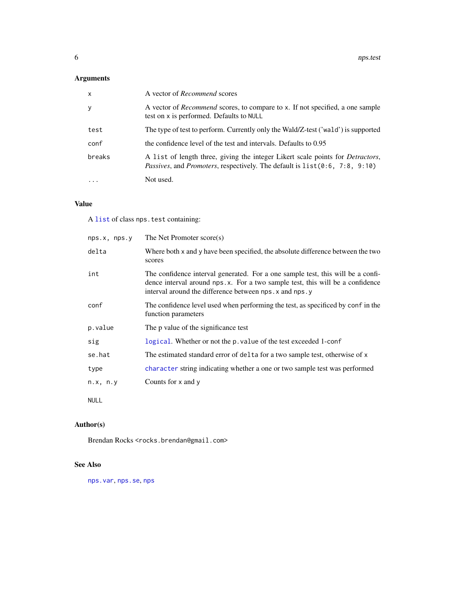## <span id="page-5-0"></span>Arguments

| $\mathsf{x}$ | A vector of <i>Recommend</i> scores                                                                                                                                         |
|--------------|-----------------------------------------------------------------------------------------------------------------------------------------------------------------------------|
| y            | A vector of <i>Recommend</i> scores, to compare to x. If not specified, a one sample<br>test on x is performed. Defaults to NULL                                            |
| test         | The type of test to perform. Currently only the Wald/Z-test ('wald') is supported                                                                                           |
| conf         | the confidence level of the test and intervals. Defaults to 0.95                                                                                                            |
| breaks       | A list of length three, giving the integer Likert scale points for <i>Detractors</i> ,<br><i>Passives, and Promoters, respectively. The default is list(0:6, 7:8, 9:10)</i> |
| $\cdots$     | Not used.                                                                                                                                                                   |

## Value

A [list](#page-0-0) of class nps.test containing:

| nps.x, nps.y | The Net Promoter score(s)                                                                                                                                                                                                    |
|--------------|------------------------------------------------------------------------------------------------------------------------------------------------------------------------------------------------------------------------------|
| delta        | Where both x and y have been specified, the absolute difference between the two<br>scores                                                                                                                                    |
| int          | The confidence interval generated. For a one sample test, this will be a confi-<br>dence interval around nps.x. For a two sample test, this will be a confidence<br>interval around the difference between nps. x and nps. y |
| conf         | The confidence level used when performing the test, as specificed by conf in the<br>function parameters                                                                                                                      |
| p.value      | The p value of the significance test                                                                                                                                                                                         |
| sig          | logical. Whether or not the p. value of the test exceeded 1-conf                                                                                                                                                             |
| se.hat       | The estimated standard error of delta for a two sample test, otherwise of x                                                                                                                                                  |
| type         | character string indicating whether a one or two sample test was performed                                                                                                                                                   |
| n.x, n.y     | Counts for $x$ and $y$                                                                                                                                                                                                       |
| <b>NULL</b>  |                                                                                                                                                                                                                              |

## Author(s)

Brendan Rocks <rocks.brendan@gmail.com>

## See Also

[nps.var](#page-6-2), [nps.se](#page-4-1), [nps](#page-2-1)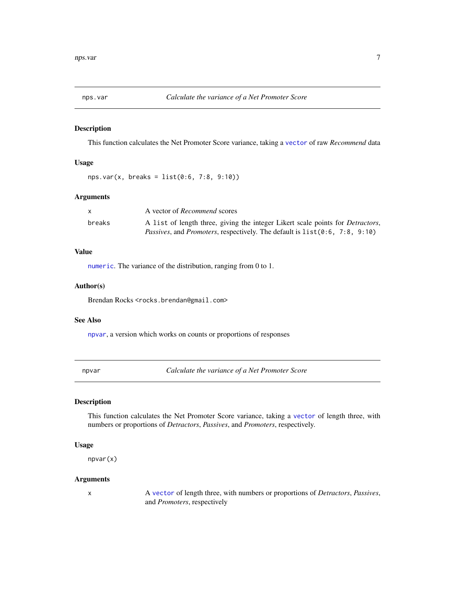<span id="page-6-2"></span><span id="page-6-0"></span>

## Description

This function calculates the Net Promoter Score variance, taking a [vector](#page-0-0) of raw *Recommend* data

## Usage

 $nps.var(x, breaks = list(0:6, 7:8, 9:10))$ 

## Arguments

|        | A vector of <i>Recommend</i> scores                                                    |
|--------|----------------------------------------------------------------------------------------|
| breaks | A list of length three, giving the integer Likert scale points for <i>Detractors</i> , |
|        | <i>Passives, and Promoters, respectively. The default is list(0:6, 7:8, 9:10)</i>      |

## Value

[numeric](#page-0-0). The variance of the distribution, ranging from 0 to 1.

## Author(s)

Brendan Rocks <rocks.brendan@gmail.com>

## See Also

[npvar](#page-6-1), a version which works on counts or proportions of responses

<span id="page-6-1"></span>npvar *Calculate the variance of a Net Promoter Score*

## Description

This function calculates the Net Promoter Score variance, taking a [vector](#page-0-0) of length three, with numbers or proportions of *Detractors*, *Passives*, and *Promoters*, respectively.

## Usage

npvar(x)

## Arguments

x A [vector](#page-0-0) of length three, with numbers or proportions of *Detractors*, *Passives*, and *Promoters*, respectively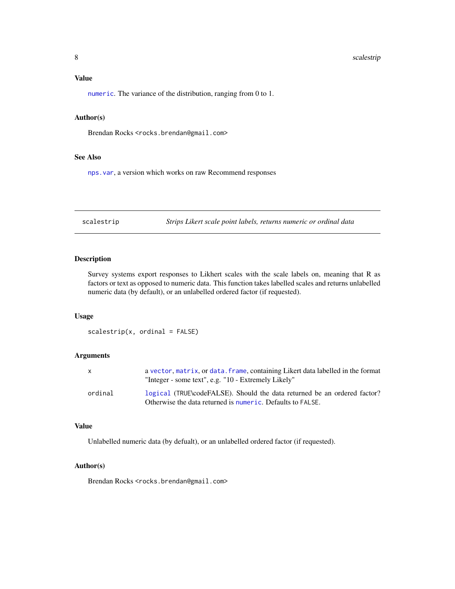#### <span id="page-7-0"></span>8 scalestrip and the set of the set of the set of the set of the set of the set of the set of the set of the set of the set of the set of the set of the set of the set of the set of the set of the set of the set of the set

## Value

[numeric](#page-0-0). The variance of the distribution, ranging from 0 to 1.

## Author(s)

Brendan Rocks <rocks.brendan@gmail.com>

## See Also

[nps.var](#page-6-2), a version which works on raw Recommend responses

scalestrip *Strips Likert scale point labels, returns numeric or ordinal data*

## Description

Survey systems export responses to Likhert scales with the scale labels on, meaning that R as factors or text as opposed to numeric data. This function takes labelled scales and returns unlabelled numeric data (by default), or an unlabelled ordered factor (if requested).

## Usage

 $scalestrip(x, ordinal = FALSE)$ 

## Arguments

|         | a vector, matrix, or data. frame, containing Likert data labelled in the format<br>"Integer - some text", e.g. "10 - Extremely Likely" |
|---------|----------------------------------------------------------------------------------------------------------------------------------------|
| ordinal | logical (TRUE\codeFALSE). Should the data returned be an ordered factor?<br>Otherwise the data returned is numeric. Defaults to FALSE. |

## Value

Unlabelled numeric data (by defualt), or an unlabelled ordered factor (if requested).

## Author(s)

Brendan Rocks <rocks.brendan@gmail.com>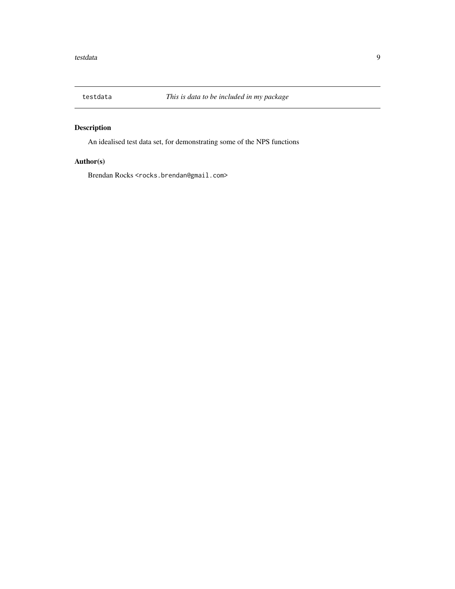<span id="page-8-0"></span>

## Description

An idealised test data set, for demonstrating some of the NPS functions

## Author(s)

Brendan Rocks <rocks.brendan@gmail.com>